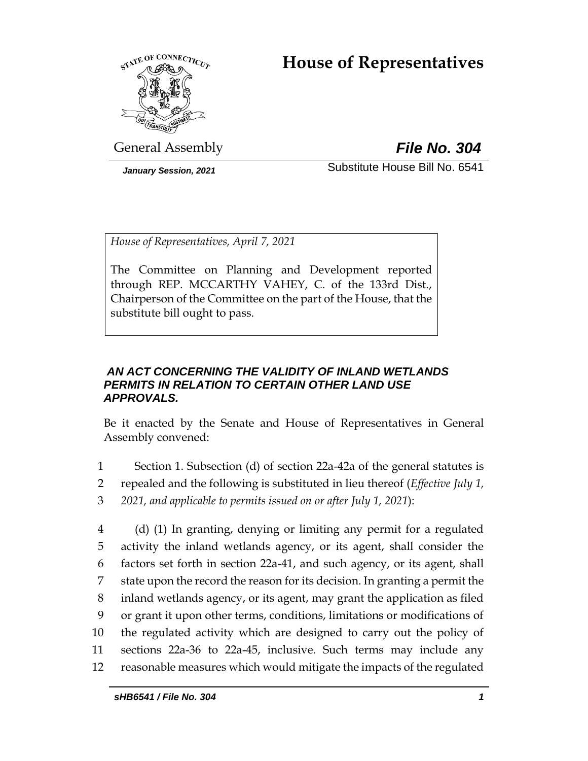# **House of Representatives**



General Assembly *File No. 304*

*January Session, 2021* Substitute House Bill No. 6541

*House of Representatives, April 7, 2021*

The Committee on Planning and Development reported through REP. MCCARTHY VAHEY, C. of the 133rd Dist., Chairperson of the Committee on the part of the House, that the substitute bill ought to pass.

## *AN ACT CONCERNING THE VALIDITY OF INLAND WETLANDS PERMITS IN RELATION TO CERTAIN OTHER LAND USE APPROVALS.*

Be it enacted by the Senate and House of Representatives in General Assembly convened:

- 1 Section 1. Subsection (d) of section 22a-42a of the general statutes is 2 repealed and the following is substituted in lieu thereof (*Effective July 1,*  3 *2021, and applicable to permits issued on or after July 1, 2021*):
- 4 (d) (1) In granting, denying or limiting any permit for a regulated 5 activity the inland wetlands agency, or its agent, shall consider the 6 factors set forth in section 22a-41, and such agency, or its agent, shall 7 state upon the record the reason for its decision. In granting a permit the 8 inland wetlands agency, or its agent, may grant the application as filed 9 or grant it upon other terms, conditions, limitations or modifications of 10 the regulated activity which are designed to carry out the policy of 11 sections 22a-36 to 22a-45, inclusive. Such terms may include any 12 reasonable measures which would mitigate the impacts of the regulated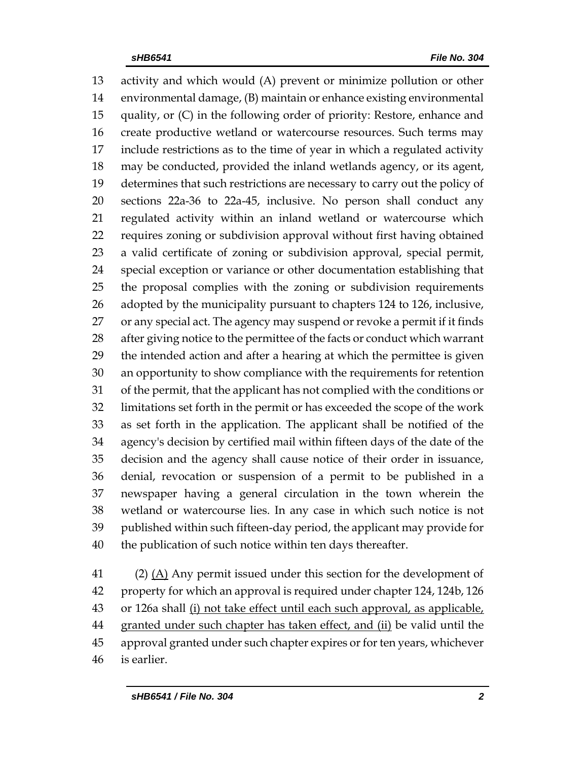activity and which would (A) prevent or minimize pollution or other environmental damage, (B) maintain or enhance existing environmental quality, or (C) in the following order of priority: Restore, enhance and create productive wetland or watercourse resources. Such terms may include restrictions as to the time of year in which a regulated activity may be conducted, provided the inland wetlands agency, or its agent, determines that such restrictions are necessary to carry out the policy of sections 22a-36 to 22a-45, inclusive. No person shall conduct any regulated activity within an inland wetland or watercourse which requires zoning or subdivision approval without first having obtained a valid certificate of zoning or subdivision approval, special permit, special exception or variance or other documentation establishing that the proposal complies with the zoning or subdivision requirements 26 adopted by the municipality pursuant to chapters 124 to 126, inclusive, or any special act. The agency may suspend or revoke a permit if it finds after giving notice to the permittee of the facts or conduct which warrant the intended action and after a hearing at which the permittee is given an opportunity to show compliance with the requirements for retention of the permit, that the applicant has not complied with the conditions or limitations set forth in the permit or has exceeded the scope of the work as set forth in the application. The applicant shall be notified of the agency's decision by certified mail within fifteen days of the date of the decision and the agency shall cause notice of their order in issuance, denial, revocation or suspension of a permit to be published in a newspaper having a general circulation in the town wherein the wetland or watercourse lies. In any case in which such notice is not published within such fifteen-day period, the applicant may provide for the publication of such notice within ten days thereafter.

 (2) (A) Any permit issued under this section for the development of property for which an approval is required under chapter 124, 124b, 126 or 126a shall (i) not take effect until each such approval, as applicable, granted under such chapter has taken effect, and (ii) be valid until the approval granted under such chapter expires or for ten years, whichever is earlier.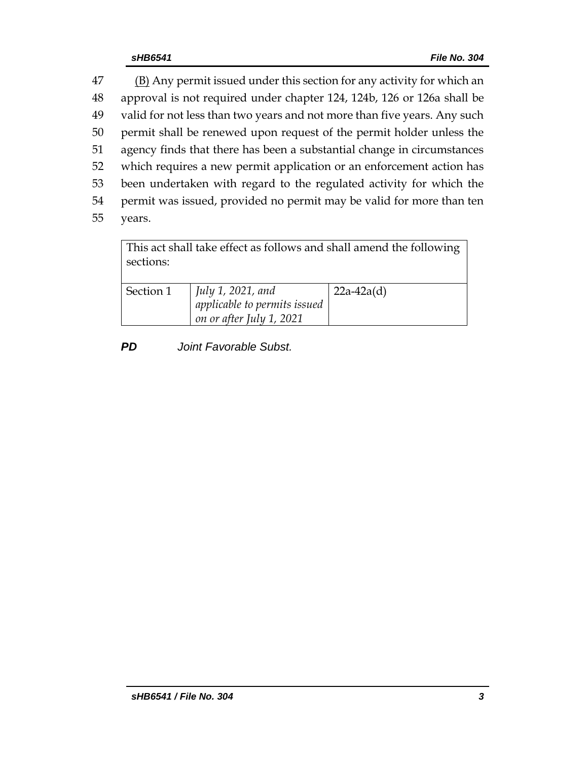47 (B) Any permit issued under this section for any activity for which an approval is not required under chapter 124, 124b, 126 or 126a shall be valid for not less than two years and not more than five years. Any such permit shall be renewed upon request of the permit holder unless the agency finds that there has been a substantial change in circumstances which requires a new permit application or an enforcement action has been undertaken with regard to the regulated activity for which the permit was issued, provided no permit may be valid for more than ten 55 years.

This act shall take effect as follows and shall amend the following sections: Section 1 *July 1, 2021, and applicable to permits issued on or after July 1, 2021* 22a-42a(d)

*PD Joint Favorable Subst.*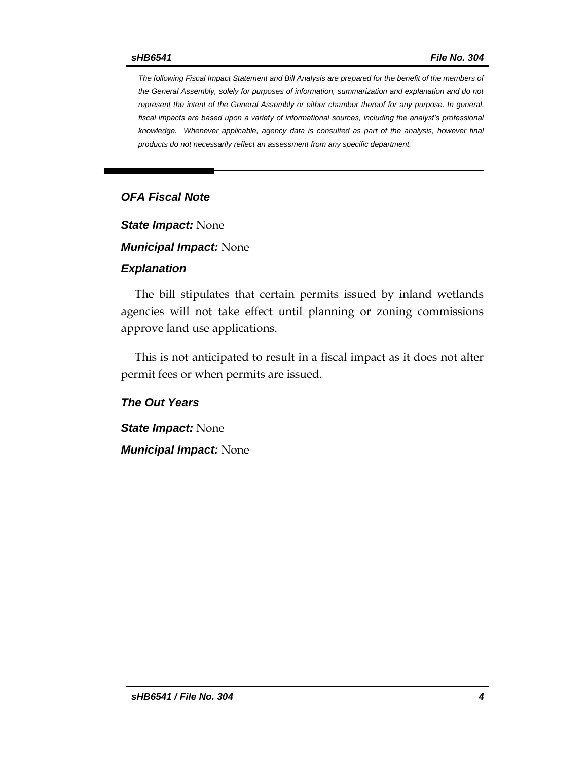*The following Fiscal Impact Statement and Bill Analysis are prepared for the benefit of the members of the General Assembly, solely for purposes of information, summarization and explanation and do not represent the intent of the General Assembly or either chamber thereof for any purpose. In general,*  fiscal impacts are based upon a variety of informational sources, including the analyst's professional *knowledge. Whenever applicable, agency data is consulted as part of the analysis, however final products do not necessarily reflect an assessment from any specific department.*

## *OFA Fiscal Note*

*State Impact:* None

*Municipal Impact:* None

#### *Explanation*

The bill stipulates that certain permits issued by inland wetlands agencies will not take effect until planning or zoning commissions approve land use applications.

This is not anticipated to result in a fiscal impact as it does not alter permit fees or when permits are issued.

*The Out Years*

*State Impact:* None *Municipal Impact:* None